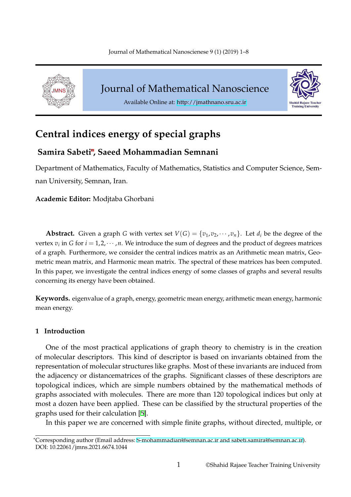<span id="page-0-0"></span>

Journal of Mathematical Nanoscience





# **Central indices energy of spec[ial graphs](http://jmathnano.sru.ac.ir)**

# **Samira Sabeti**\***, Saeed Mohammadian Semnani**

Department of Mathematics, Faculty of Mathematics, Statistics and Computer Science, Semnan University, Semnan, Iran.

**Academic Editor:** Modjtaba Ghorbani

**Abstract.** Given a graph *G* with vertex set  $V(G) = \{v_1, v_2, \dots, v_n\}$ . Let  $d_i$  be the degree of the vertex  $v_i$  in *G* for  $i = 1, 2, \cdots, n$ . We introduce the sum of degrees and the product of degrees matrices of a graph. Furthermore, we consider the central indices matrix as an Arithmetic mean matrix, Geometric mean matrix, and Harmonic mean matrix. The spectral of these matrices has been computed. In this paper, we investigate the central indices energy of some classes of graphs and several results concerning its energy have been obtained.

**Keywords.** eigenvalue of a graph, energy, geometric mean energy, arithmetic mean energy, harmonic mean energy.

### **1 Introduction**

One of the most practical applications of graph theory to chemistry is in the creation of molecular descriptors. This kind of descriptor is based on invariants obtained from the representation of molecular structures like graphs. Most of these invariants are induced from the adjacency or distancematrices of the graphs. Significant classes of these descriptors are topological indices, which are simple numbers obtained by the mathematical methods of graphs associated with molecules. There are more than 120 topological indices but only at most a dozen have been applied. These can be classified by the structural properties of the graphs used for their calculation [5].

In this paper we are concerned with simple finite graphs, without directed, multiple, or

<sup>\*</sup>Corresponding author (Email address: S[-m](#page-6-0)ohammadian@semnan.ac.ir and sabeti.samira@semnan.ac.ir). DOI: 10.22061/jmns.2021.6674.1044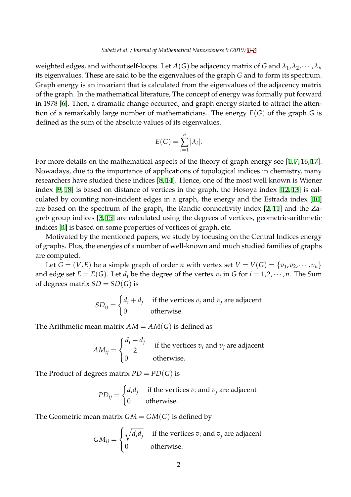weighted edges, and without self-loops. Let  $A(G)$  be adjacency matrix of *G* and  $\lambda_1, \lambda_2, \cdots, \lambda_n$ its eigenvalues. These are said to be the eigenvalues of the graph *G* [an](#page-0-0)[d](#page-6-1) to form its spectrum. Graph energy is an invariant that is calculated from the eigenvalues of the adjacency matrix of the graph. In the mathematical literature, The concept of energy was formally put forward in 1978 [6]. Then, a dramatic change occurred, and graph energy started to attract the attention of a remarkably large number of mathematicians. The energy *E*(*G*) of the graph *G* is defined as the sum of the absolute values of its eigenvalues.

$$
E(G) = \sum_{i=1}^{n} |\lambda_i|.
$$

For more details on the mathematical aspects of the theory of graph energy see [1,7,16,17]. Nowadays, due to the importance of applications of topological indices in chemistry, many researchers have studied these indices [8, 14]. Hence, one of the most well known is Wiener index [9, 18] is based on distance of vertices in the graph, the Hosoya index [1[2,](#page-6-2) [13](#page-6-3)[\] is](#page-6-4) [cal](#page-7-0)culated by counting non-incident edges in a graph, the energy and the Estrada index [10] are based on the spectrum of the grap[h,](#page-6-5) [th](#page-6-6)e Randic connectivity index [2, 11] and the Zagreb g[ro](#page-6-7)[up](#page-7-1) indices [3, 15] are calculated using the degrees of vertices, geomet[ric-](#page-6-8)[arit](#page-6-9)hmetic indices [4] is based on some properties of vertices of graph, etc.

Motivated by the mentioned papers, we study by focusing on the Cen[tra](#page-6-10)[l In](#page-6-11)dices energy of graphs. Plus, the [en](#page-6-12)[erg](#page-6-13)ies of a number of well-known and much studied families of graphs are com[pu](#page-6-14)ted.

Let  $G = (V, E)$  be a simple graph of order *n* with vertex set  $V = V(G) = \{v_1, v_2, \dots, v_n\}$ and edge set  $E = E(G)$ . Let  $d_i$  be the degree of the vertex  $v_i$  in *G* for  $i = 1, 2, \cdots, n$ . The Sum of degrees matrix  $SD = SD(G)$  is

$$
SD_{ij} = \begin{cases} d_i + d_j & \text{if the vertices } v_i \text{ and } v_j \text{ are adjacent} \\ 0 & \text{otherwise.} \end{cases}
$$

The Arithmetic mean matrix  $AM = AM(G)$  is defined as

$$
AM_{ij} = \begin{cases} \frac{d_i + d_j}{2} & \text{if the vertices } v_i \text{ and } v_j \text{ are adjacent} \\ 0 & \text{otherwise.} \end{cases}
$$

The Product of degrees matrix  $PD = PD(G)$  is

$$
PD_{ij} = \begin{cases} d_i d_j & \text{if the vertices } v_i \text{ and } v_j \text{ are adjacent} \\ 0 & \text{otherwise.} \end{cases}
$$

The Geometric mean matrix  $GM = GM(G)$  is defined by

$$
GM_{ij} = \begin{cases} \sqrt{d_i d_j} & \text{if the vertices } v_i \text{ and } v_j \text{ are adjacent} \\ 0 & \text{otherwise.} \end{cases}
$$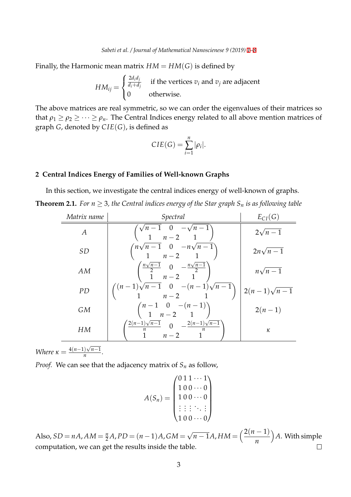Finally, the Harmonic mean matrix  $HM = HM(G)$  is defined by

$$
HM_{ij} = \begin{cases} \frac{2d_i d_j}{d_i + d_j} & \text{if the vertices } v_i \text{ and } v_j \text{ are adjacent} \\ 0 & \text{otherwise.} \end{cases}
$$

The above matrices are real symmetric, so we can order the eigenvalues of their matrices so that  $\rho_1 \ge \rho_2 \ge \cdots \ge \rho_n$ . The Central Indices energy related to all above mention matrices of graph *G*, denoted by *C IE*(*G*), is defined as

$$
CIE(G) = \sum_{i=1}^{n} |\rho_i|.
$$

#### **2 Central Indices Energy of Families of Well-known Graphs**

In this section, we investigate the central indices energy of well-known of graphs. **Theorem 2.1.** *For*  $n \geq 3$ *, the Central indices energy of the Star graph*  $S_n$  *is as following table* 

| Matrix name | Spectral                                                                                          | $E_{CI}(G)$        |
|-------------|---------------------------------------------------------------------------------------------------|--------------------|
| A           | $\begin{pmatrix} \sqrt{n-1} & 0 & -\sqrt{n-1} \\ 1 & n-2 & 1 \end{pmatrix}$                       | $2\sqrt{n-1}$      |
| <i>SD</i>   | $\binom{n\sqrt{n-1}$ 0 $-n\sqrt{n-1}}{1$ $n-2$ 1                                                  | $2n\sqrt{n-1}$     |
| AM          | $\begin{pmatrix} \frac{n\sqrt{n-1}}{2} & 0 & -\frac{n\sqrt{n-1}}{2} \\ 1 & n-2 & 1 \end{pmatrix}$ | $n\sqrt{n-1}$      |
| PD          | $\binom{(n-1)\sqrt{n-1} & 0 & -(n-1)\sqrt{n-1}}{n-2}$                                             | $2(n-1)\sqrt{n-1}$ |
| <b>GM</b>   | $\binom{n-1}{1}$ $\binom{n-(n-1)}{n-2}$                                                           | $2(n-1)$           |
| HМ          | $\frac{\frac{2(n-1)\sqrt{n-1}}{n}}{1} \cdot \frac{0}{n-2} - \frac{\frac{2(n-1)\sqrt{n-1}}{n}}{1}$ | κ                  |

*Where*  $\kappa = \frac{4(n-1)\sqrt{n-1}}{n}$  $\frac{fV}{n}$ .

*Proof.* We can see that the adjacency matrix of  $S_n$  as follow,

$$
A(S_n) = \begin{pmatrix} 0 & 1 & 1 & \cdots & 1 \\ 1 & 0 & 0 & \cdots & 0 \\ 1 & 0 & 0 & \cdots & 0 \\ \vdots & \vdots & \vdots & \ddots & \vdots \\ 1 & 0 & 0 & \cdots & 0 \end{pmatrix}
$$

*√*  $\overline{n-1}A$ ,  $HM = \left(\frac{2(n-1)}{n}\right)$ ) *A*. With simple  $Also, SD = nA$ ,  $AM = \frac{n}{2}A$ ,  $PD = (n-1)A$ ,  $GM =$ *n* computation, we can get the results inside the table.  $\Box$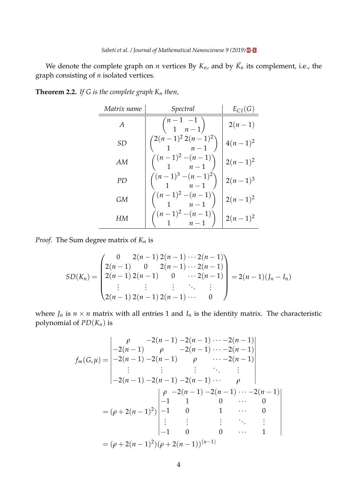We denote the complete graph on *n* vertices By  $K_n$ , and by  $\bar{K_n}$  its complement, i.e., the graph consisting of *n* isolated vertices.

<span id="page-3-0"></span>

| <b>Theorem 2.2.</b> If G is the complete graph $K_n$ then, |  |  |  |  |  |
|------------------------------------------------------------|--|--|--|--|--|
|------------------------------------------------------------|--|--|--|--|--|

| Matrix name | Spectral                                  | $E_{CI}(G)$ |
|-------------|-------------------------------------------|-------------|
| A           | $\binom{n-1}{1}$ $\binom{n-1}{n-1}$       | $2(n-1)$    |
| SD          | $\binom{2(n-1)^2 2(n-1)^2}{1 \qquad n-1}$ | $4(n-1)^2$  |
| AМ          | $\binom{(n-1)^2-(n-1)}{1-n-1}$            | $2(n-1)^2$  |
| PD)         | $\binom{(n-1)^3-(n-1)^2}{1-n-1}$          | $2(n-1)^3$  |
| GM          | $\binom{(n-1)^2-(n-1)}{1-n-1}$            | $2(n-1)^2$  |
| HМ          | $\binom{(n-1)^2-(n-1)}{1-n-1}$            | $2(n-1)^2$  |

*Proof.* The Sum degree matrix of *K<sup>n</sup>* is

$$
SD(K_n) = \begin{pmatrix} 0 & 2(n-1) 2(n-1) \cdots 2(n-1) \\ 2(n-1) & 0 & 2(n-1) \cdots 2(n-1) \\ 2(n-1) 2(n-1) & 0 & \cdots 2(n-1) \\ \vdots & \vdots & \vdots & \ddots & \vdots \\ 2(n-1) 2(n-1) 2(n-1) \cdots & 0 \end{pmatrix} = 2(n-1)(J_n - I_n)
$$

where  $J_n$  is  $n \times n$  matrix with all entries 1 and  $I_n$  is the identity matrix. The characteristic polynomial of *PD*(*Kn*) is

$$
f_m(G,\mu) = \begin{vmatrix} \rho & -2(n-1) - 2(n-1) \cdots - 2(n-1) \\ -2(n-1) & \rho & -2(n-1) \cdots - 2(n-1) \\ -2(n-1) - 2(n-1) & \rho & \cdots - 2(n-1) \\ \vdots & \vdots & \vdots & \ddots & \vdots \\ -2(n-1) - 2(n-1) - 2(n-1) \cdots & \rho \end{vmatrix}
$$
  
=  $(\rho + 2(n-1)^2)\begin{vmatrix} \rho & -2(n-1) - 2(n-1) \cdots - 2(n-1) \\ -1 & 1 & 0 & \cdots & 0 \\ \vdots & \vdots & \vdots & \ddots & \vdots \\ -1 & 0 & 0 & \cdots & 1 \end{vmatrix}$   
=  $(\rho + 2(n-1)^2)(\rho + 2(n-1))^{(n-1)}$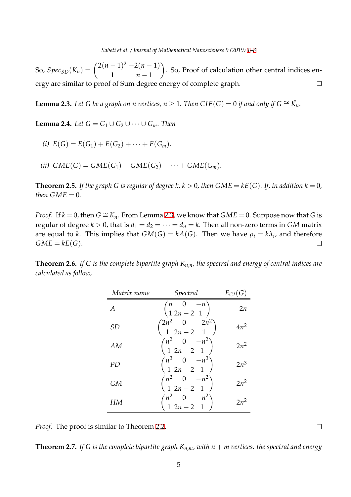So,  $Spec_{SD}(K_n) = \binom{2(n-1)^2 - 2(n-1)}{n}$  $\setminus$ . So, Proof of calculation other central indices en-1 *n −* 1 ergy are similar to proof of Sum degree energy of complete graph.  $\Box$ 

**Lemma 2.3.** Let G be a graph on n vertices,  $n \geq 1$ . Then  $CIE(G) = 0$  if and only if  $G \cong \overline{K_n}$ .

**Lemma 2.4.** *Let G* = *G*<sub>1</sub> *∪ G*<sub>2</sub> *∪*  $\cdots$  *∪ G*<sub>*m*</sub>*. Then* 

(*i*)  $E(G) = E(G_1) + E(G_2) + \cdots + E(G_m)$ .

 $(iii)$   $GME(G) = GME(G_1) + GME(G_2) + \cdots + GME(G_m).$ 

**Theorem 2.5.** If the graph G is regular of degree k,  $k > 0$ , then  $GME = kE(G)$ . If, in addition  $k = 0$ , *then*  $GME = 0$ *.* 

*Proof.* If  $k = 0$ , then  $G \cong \overline{K}_n$ . From Lemma 2.3, we know that  $GME = 0$ . Suppose now that G is regular of degree  $k > 0$ , that is  $d_1 = d_2 = \cdots = d_n = k$ . Then all non-zero terms in *GM* matrix are equal to *k*. This implies that  $GM(G) = kA(G)$ . Then we have  $\rho_i = k\lambda_i$ , and therefore  $GME = kE(G)$ .  $\Box$ 

**Theorem 2.6.** *If G is the complete bipartite graph Kn*,*n, the spectral and energy of central indices are calculated as follow,*

| Matrix name    | Spectral                                                       | $E_{CI}(G)$ |
|----------------|----------------------------------------------------------------|-------------|
| $\overline{A}$ | $\begin{pmatrix} n & 0 & -n \\ 1 & 2n - 2 & 1 \end{pmatrix}$   | 2n          |
| <b>SD</b>      | $\binom{2n^2 & 0 & -2n^2}{1 & 2n-2 & 1}$                       | $4n^2$      |
| AM             | $\binom{n^2}{1 \ 2n-2 \ 1}$                                    | $2n^2$      |
| PD             | $\begin{pmatrix} n^3 & 0 & -n^3 \\ 1 & 2n-2 & 1 \end{pmatrix}$ | $2n^3$      |
| GM             | $\begin{pmatrix} n^2 & 0 & -n^2 \\ 1 & 2n-2 & 1 \end{pmatrix}$ | $2n^2$      |
| HМ             | $\binom{n^2}{1 \ 2n-2 \ 1}$                                    | $2n^2$      |

*Proof.* The proof is similar to Theorem 2.2.

**Theorem 2.7.** If G is the complete bipartite graph  $K_{n,m}$ , with  $n+m$  vertices. the spectral and energy

 $\Box$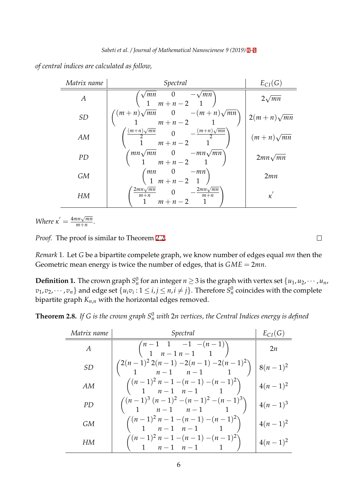*of central indices are calculated as follow,*

| Matrix name    | Spectral                                                                                 | $E_{CI}(G)$       |
|----------------|------------------------------------------------------------------------------------------|-------------------|
| $\overline{A}$ | $\begin{pmatrix} \sqrt{mn} & 0 & -\sqrt{mn} \\ 1 & m+n-2 & 1 \end{pmatrix}$              | $2\sqrt{mn}$      |
| <i>SD</i>      | $\binom{(m+n)\sqrt{mn}}{1}\frac{0}{m+n-2} - (m+n)\sqrt{mn}$                              | $2(m+n)\sqrt{mn}$ |
| AM             | $\frac{(m+n)\sqrt{mn}}{2} \n 0 \n -\frac{(m+n)\sqrt{mn}}{2}$ $\frac{1}{2} \n m+n-2 \n 1$ | $(m+n)\sqrt{mn}$  |
| PD             | $\begin{pmatrix} mn\sqrt{mn} & 0 & -mn\sqrt{mn} \\ 1 & m+n-2 & 1 \end{pmatrix}$          | $2mn\sqrt{mn}$    |
| GМ             | $\begin{pmatrix} mn & 0 & -mn \\ 1 & m+n-2 & 1 \end{pmatrix}$                            | 2mn               |
| HМ             | $\frac{2mn\sqrt{mn}}{m+n}$ 0 $-\frac{2mn\sqrt{mn}}{m+n}$<br>$\overline{1}$<br>1 $m+n-2$  | $\kappa$          |

*Where*  $\kappa' = \frac{4mn\sqrt{mn}}{m+n}$  $\frac{m\sqrt{mn}}{m+n}$ .

*Proof.* The proof is similar to Theorem 2.2.

*Remark* 1*.* Let *G* be a bipartite compelete graph, we know number of edges equal *mn* then the Geometric mean energy is twice the n[umb](#page-3-0)er of edges, that is *GME* = 2*mn*.

**Definition 1.** The crown graph  $S_n^0$  for an integer  $n \geq 3$  is the graph with vertex set  $\{u_1, u_2, \cdots, u_n,$  $v_1,v_2,\cdots,v_n\}$  and edge set  $\{u_iv_i\colon 1\leq i,j\leq n, i\neq j\}.$  Therefore  $S_n^0$  coincides with the complete bipartite graph *Kn*,*<sup>n</sup>* with the horizontal edges removed.

**Theorem 2.8.** If G is the crown graph  $S_n^0$  with 2n vertices, the Central Indices energy is defined

| Matrix name | Spectral                                                             | $E_{CI}(G)$ |
|-------------|----------------------------------------------------------------------|-------------|
| A           | $\binom{n-1}{1}$ $\frac{1}{n-1}$ $\frac{-1}{n-1}$ $\frac{-(n-1)}{1}$ | 2n          |
| <i>SD</i>   | $\binom{2(n-1)^2 2(n-1) - 2(n-1) - 2(n-1)^2}{n-1}$                   | $8(n-1)^2$  |
| AM          | $\binom{(n-1)^2 n - 1 - (n-1) - (n-1)^2}{1 - n - 1 - n - 1}$         | $4(n-1)^2$  |
| PD.         | $\binom{(n-1)^3 (n-1)^2 - (n-1)^2 - (n-1)^3}{n-1}$                   | $4(n-1)^3$  |
| GМ          | $\binom{(n-1)^2 n - 1 - (n-1) - (n-1)^2}{1 - n - 1 - n - 1}$         | $4(n-1)^2$  |
| HМ          | $\binom{(n-1)^2 n-1-(n-1)-(n-1)^2}{n-1 n-1}$                         | $4(n-1)^2$  |

 $\Box$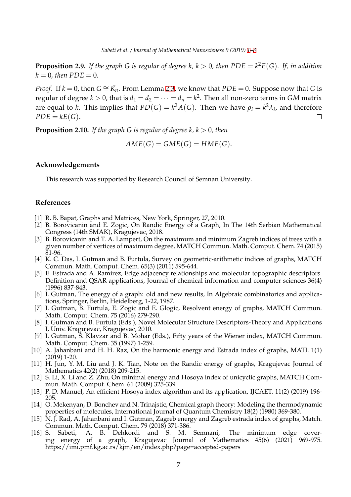**Proposition 2.9.** If the graph G is regular of degree k,  $k > 0$ , then  $PDE = k^2E(G)$ . If, in addition  $k = 0$ , then  $PDE = 0$ .

*Proof.* If  $k = 0$ , then  $G \cong \overline{K}_n$ . From Lemma 2.3, we know that  $PDE = 0$ . Suppose now that G is regular of degree  $k > 0$ , that is  $d_1 = d_2 = \cdots = d_n = k^2$ . Then all non-zero terms in  $GM$  matrix are equal to *k*. This implies that  $PD(G) = k^2 A(G)$ . Then we have  $\rho_i = k^2 \lambda_i$ , and therefore  $PDE = kE(G)$ .  $\Box$ 

**Proposition 2.10.** *If the graph G is regular of degree*  $k, k > 0$ *, then* 

$$
AME(G) = GME(G) = HME(G).
$$

# <span id="page-6-1"></span>**Acknowledgements**

This research was supported by Research Council of Semnan University.

# **References**

- [1] R. B. Bapat, Graphs and Matrices, New York, Springer, 27, 2010.
- [2] B. Borovicanin and E. Zogic, On Randic Energy of a Graph, In The 14th Serbian Mathematical Congress (14th SMAK), Kragujevac, 2018.
- <span id="page-6-2"></span>[3] B. Borovicanin and T. A. Lampert, On the maximum and minimum Zagreb indices of trees with a given number of vertices of maximum degree, MATCH Commun. Math. Comput. Chem. 74 (2015) 81-96.
- <span id="page-6-10"></span>[4] K. C. Das, I. Gutman and B. Furtula, Survey on geometric-arithmetic indices of graphs, MATCH Commun. Math. Comput. Chem. 65(3) (2011) 595-644.
- <span id="page-6-12"></span>[5] E. Estrada and A. Ramirez, Edge adjacency relationships and molecular topographic descriptors. Definition and QSAR applications, Journal of chemical information and computer sciences 36(4) (1996) 837-843.
- <span id="page-6-14"></span>[6] I. Gutman, The energy of a graph: old and new results, In Algebraic combinatorics and applications, Springer, Berlin, Heidelberg, 1-22, 1987.
- <span id="page-6-0"></span>[7] I. Gutman, B. Furtula, E. Zogic and E. Glogic, Resolvent energy of graphs, MATCH Commun. Math. Comput. Chem. 75 (2016) 279-290.
- [8] I. Gutman and B. Furtula (Eds.), Novel Molecular Structure Descriptors-Theory and Applications I, Univ. Kragujevac, Kragujevac, 2010.
- <span id="page-6-3"></span>[9] I. Gutman, S. Klavzar and B. Mohar (Eds.), Fifty years of the Wiener index, MATCH Commun. Math. Comput. Chem. 35 (1997) 1-259.
- <span id="page-6-5"></span>[10] A. Jahanbani and H. H. Raz, On the harmonic energy and Estrada index of graphs, MATI. 1(1) (2019) 1-20.
- <span id="page-6-7"></span>[11] H. Jun, Y. M. Liu and J. K. Tian, Note on the Randic energy of graphs, Kragujevac Journal of Mathematics 42(2) (2018) 209-215.
- [12] S. Li, X. Li and Z. Zhu, On minimal energy and Hosoya index of unicyclic graphs, MATCH Commun. Math. Comput. Chem. 61 (2009) 325-339.
- <span id="page-6-11"></span>[13] P. D. Manuel, An efficient Hosoya index algorithm and its application, IJCAET. 11(2) (2019) 196- 205.
- <span id="page-6-8"></span>[14] O. Mekenyan, D. Bonchev and N. Trinajstic, Chemical graph theory: Modeling the thermodynamic properties of molecules, International Journal of Quantum Chemistry 18(2) (1980) 369-380.
- <span id="page-6-9"></span>[15] N. J. Rad, A. Jahanbani and I. Gutman, Zagreb energy and Zagreb estrada index of graphs, Match. Commun. Math. Comput. Chem. 79 (2018) 371-386.
- <span id="page-6-13"></span><span id="page-6-6"></span><span id="page-6-4"></span>[16] S. Sabeti, A. B. Dehkordi and S. M. Semnani, The minimum edge covering energy of a graph, Kragujevac Journal of Mathematics 45(6) (2021) 969-975. https://imi.pmf.kg.ac.rs/kjm/en/index.php?page=accepted-papers